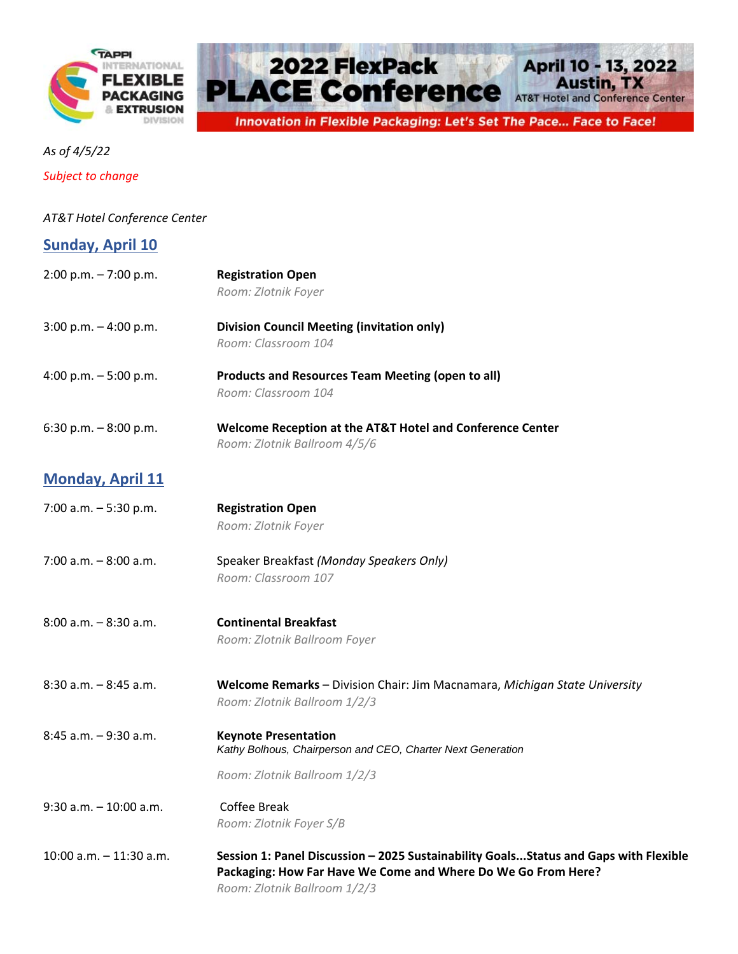



*As of 4/5/22*

*Subject to change*

## *AT&T Hotel Conference Center*

| <b>Sunday, April 10</b> |
|-------------------------|
|-------------------------|

| $2:00$ p.m. $-7:00$ p.m.  | <b>Registration Open</b>                                                                  |
|---------------------------|-------------------------------------------------------------------------------------------|
|                           | Room: Zlotnik Foyer                                                                       |
| $3:00$ p.m. $-4:00$ p.m.  | <b>Division Council Meeting (invitation only)</b>                                         |
|                           | Room: Classroom 104                                                                       |
| 4:00 p.m. $-5:00$ p.m.    | <b>Products and Resources Team Meeting (open to all)</b>                                  |
|                           | Room: Classroom 104                                                                       |
| 6:30 p.m. $-8:00$ p.m.    | Welcome Reception at the AT&T Hotel and Conference Center<br>Room: Zlotnik Ballroom 4/5/6 |
| <b>Monday, April 11</b>   |                                                                                           |
| 7:00 a.m. $-5:30$ p.m.    | <b>Registration Open</b>                                                                  |
|                           | Room: Zlotnik Foyer                                                                       |
| 7:00 a.m. - 8:00 a.m.     | Speaker Breakfast (Monday Speakers Only)                                                  |
|                           | Room: Classroom 107                                                                       |
| $8:00$ a.m. $-8:30$ a.m.  | <b>Continental Breakfast</b>                                                              |
|                           | Room: Zlotnik Ballroom Foyer                                                              |
| $8:30$ a.m. $-8:45$ a.m.  | Welcome Remarks - Division Chair: Jim Macnamara, Michigan State University                |
|                           | Room: Zlotnik Ballroom 1/2/3                                                              |
| 8:45 a.m. - 9:30 a.m.     | <b>Keynote Presentation</b>                                                               |
|                           | Kathy Bolhous, Chairperson and CEO, Charter Next Generation                               |
|                           | Room: Zlotnik Ballroom 1/2/3                                                              |
| $9:30$ a.m. $-10:00$ a.m. | Coffee Break                                                                              |
|                           | Room: Zlotnik Foyer S/B                                                                   |
| 10:00 a.m. - 11:30 a.m.   | Session 1: Panel Discussion - 2025 Sustainability GoalsStatus and Gaps with Flexible      |
|                           | Packaging: How Far Have We Come and Where Do We Go From Here?                             |
|                           | Room: Zlotnik Ballroom 1/2/3                                                              |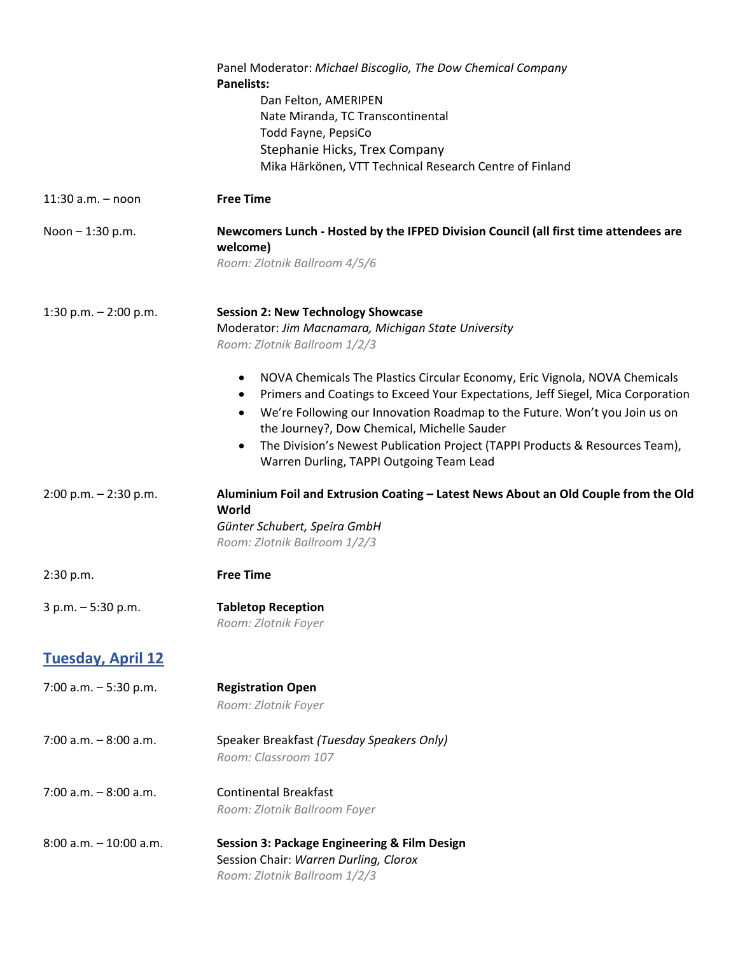|                           | Panel Moderator: Michael Biscoglio, The Dow Chemical Company<br><b>Panelists:</b>                                                                                  |
|---------------------------|--------------------------------------------------------------------------------------------------------------------------------------------------------------------|
|                           | Dan Felton, AMERIPEN                                                                                                                                               |
|                           | Nate Miranda, TC Transcontinental                                                                                                                                  |
|                           | Todd Fayne, PepsiCo                                                                                                                                                |
|                           | Stephanie Hicks, Trex Company<br>Mika Härkönen, VTT Technical Research Centre of Finland                                                                           |
|                           |                                                                                                                                                                    |
| $11:30$ a.m. $-$ noon     | <b>Free Time</b>                                                                                                                                                   |
| Noon $- 1:30$ p.m.        | Newcomers Lunch - Hosted by the IFPED Division Council (all first time attendees are<br>welcome)                                                                   |
|                           | Room: Zlotnik Ballroom 4/5/6                                                                                                                                       |
| 1:30 p.m. $- 2:00$ p.m.   | <b>Session 2: New Technology Showcase</b>                                                                                                                          |
|                           | Moderator: Jim Macnamara, Michigan State University                                                                                                                |
|                           | Room: Zlotnik Ballroom 1/2/3                                                                                                                                       |
|                           | NOVA Chemicals The Plastics Circular Economy, Eric Vignola, NOVA Chemicals<br>٠<br>Primers and Coatings to Exceed Your Expectations, Jeff Siegel, Mica Corporation |
|                           | We're Following our Innovation Roadmap to the Future. Won't you Join us on<br>the Journey?, Dow Chemical, Michelle Sauder                                          |
|                           | The Division's Newest Publication Project (TAPPI Products & Resources Team),<br>$\bullet$<br>Warren Durling, TAPPI Outgoing Team Lead                              |
| $2:00$ p.m. $- 2:30$ p.m. | Aluminium Foil and Extrusion Coating - Latest News About an Old Couple from the Old<br>World                                                                       |
|                           | Günter Schubert, Speira GmbH                                                                                                                                       |
|                           | Room: Zlotnik Ballroom 1/2/3                                                                                                                                       |
| 2:30 p.m.                 | <b>Free Time</b>                                                                                                                                                   |
| $3 p.m. - 5:30 p.m.$      | <b>Tabletop Reception</b>                                                                                                                                          |
|                           | Room: Zlotnik Foyer                                                                                                                                                |
| <b>Tuesday, April 12</b>  |                                                                                                                                                                    |
| 7:00 a.m. $-5:30$ p.m.    | <b>Registration Open</b><br>Room: Zlotnik Foyer                                                                                                                    |
| $7:00$ a.m. $-8:00$ a.m.  | Speaker Breakfast (Tuesday Speakers Only)<br>Room: Classroom 107                                                                                                   |
| $7:00$ a.m. $-8:00$ a.m.  | <b>Continental Breakfast</b>                                                                                                                                       |
|                           | Room: Zlotnik Ballroom Foyer                                                                                                                                       |
| $8:00$ a.m. $-10:00$ a.m. | Session 3: Package Engineering & Film Design<br>Session Chair: Warren Durling, Clorox<br>Room: Zlotnik Ballroom 1/2/3                                              |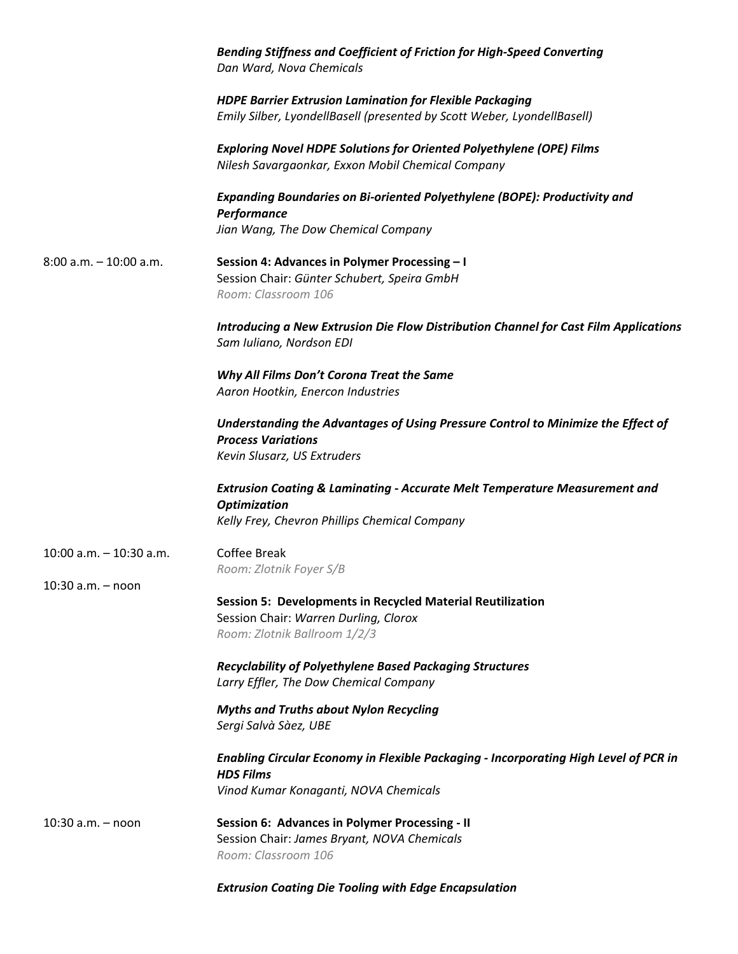|                            | <b>Bending Stiffness and Coefficient of Friction for High-Speed Converting</b><br>Dan Ward, Nova Chemicals                                   |
|----------------------------|----------------------------------------------------------------------------------------------------------------------------------------------|
|                            | <b>HDPE Barrier Extrusion Lamination for Flexible Packaging</b><br>Emily Silber, LyondellBasell (presented by Scott Weber, LyondellBasell)   |
|                            | <b>Exploring Novel HDPE Solutions for Oriented Polyethylene (OPE) Films</b><br>Nilesh Savargaonkar, Exxon Mobil Chemical Company             |
|                            | Expanding Boundaries on Bi-oriented Polyethylene (BOPE): Productivity and<br>Performance                                                     |
|                            | Jian Wang, The Dow Chemical Company                                                                                                          |
| $8:00$ a.m. $-10:00$ a.m.  | Session 4: Advances in Polymer Processing - I<br>Session Chair: Günter Schubert, Speira GmbH<br>Room: Classroom 106                          |
|                            | Introducing a New Extrusion Die Flow Distribution Channel for Cast Film Applications<br>Sam Iuliano, Nordson EDI                             |
|                            | Why All Films Don't Corona Treat the Same<br>Aaron Hootkin, Enercon Industries                                                               |
|                            | Understanding the Advantages of Using Pressure Control to Minimize the Effect of<br><b>Process Variations</b><br>Kevin Slusarz, US Extruders |
|                            | <b>Extrusion Coating &amp; Laminating - Accurate Melt Temperature Measurement and</b><br><b>Optimization</b>                                 |
|                            | Kelly Frey, Chevron Phillips Chemical Company                                                                                                |
| $10:00$ a.m. $-10:30$ a.m. | <b>Coffee Break</b><br>Room: Zlotnik Foyer S/B                                                                                               |
| 10:30 a.m. - noon          |                                                                                                                                              |
|                            | <b>Session 5: Developments in Recycled Material Reutilization</b><br>Session Chair: Warren Durling, Clorox<br>Room: Zlotnik Ballroom 1/2/3   |
|                            | Recyclability of Polyethylene Based Packaging Structures<br>Larry Effler, The Dow Chemical Company                                           |
|                            | <b>Myths and Truths about Nylon Recycling</b><br>Sergi Salvà Sàez, UBE                                                                       |
|                            | Enabling Circular Economy in Flexible Packaging - Incorporating High Level of PCR in<br><b>HDS Films</b>                                     |
|                            | Vinod Kumar Konaganti, NOVA Chemicals                                                                                                        |
| $10:30$ a.m. $-$ noon      | Session 6: Advances in Polymer Processing - II<br>Session Chair: James Bryant, NOVA Chemicals<br>Room: Classroom 106                         |
|                            | <b>Extrusion Coating Die Tooling with Edge Encapsulation</b>                                                                                 |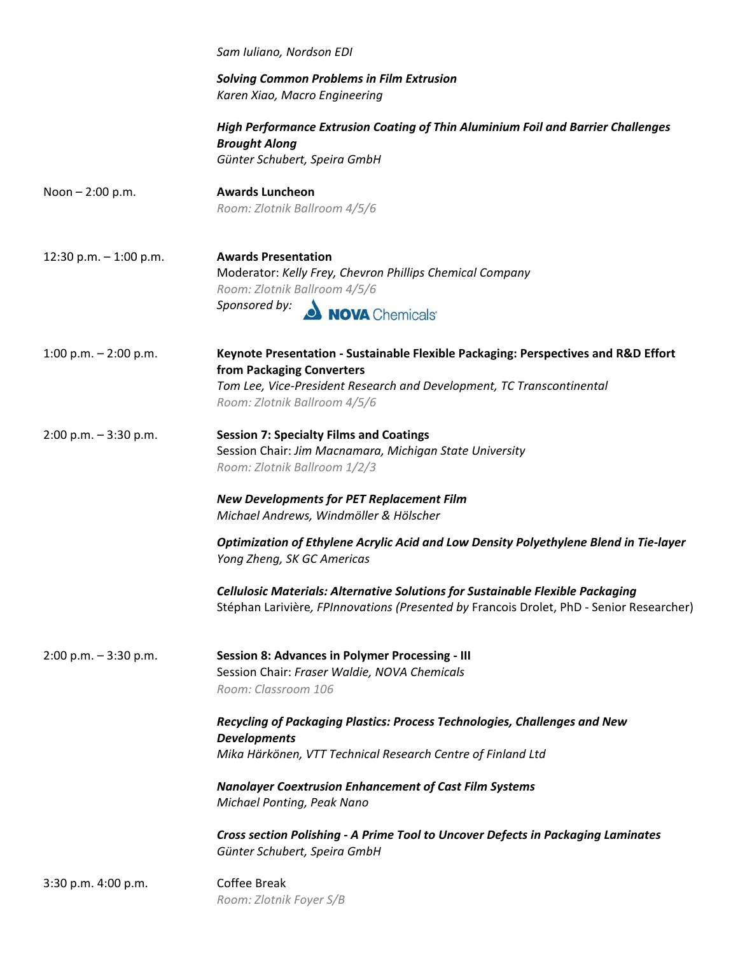|                          | Sam Iuliano, Nordson EDI                                                                                                                                                                                                 |
|--------------------------|--------------------------------------------------------------------------------------------------------------------------------------------------------------------------------------------------------------------------|
|                          | <b>Solving Common Problems in Film Extrusion</b><br>Karen Xiao, Macro Engineering                                                                                                                                        |
|                          | High Performance Extrusion Coating of Thin Aluminium Foil and Barrier Challenges<br><b>Brought Along</b><br>Günter Schubert, Speira GmbH                                                                                 |
| Noon $- 2:00$ p.m.       | <b>Awards Luncheon</b><br>Room: Zlotnik Ballroom 4/5/6                                                                                                                                                                   |
| 12:30 p.m. $-$ 1:00 p.m. | <b>Awards Presentation</b><br>Moderator: Kelly Frey, Chevron Phillips Chemical Company<br>Room: Zlotnik Ballroom 4/5/6<br>Sponsored by: NOVA Chemicals                                                                   |
| 1:00 p.m. $-$ 2:00 p.m.  | Keynote Presentation - Sustainable Flexible Packaging: Perspectives and R&D Effort<br>from Packaging Converters<br>Tom Lee, Vice-President Research and Development, TC Transcontinental<br>Room: Zlotnik Ballroom 4/5/6 |
| $2:00$ p.m. $-3:30$ p.m. | <b>Session 7: Specialty Films and Coatings</b><br>Session Chair: Jim Macnamara, Michigan State University<br>Room: Zlotnik Ballroom 1/2/3                                                                                |
|                          | <b>New Developments for PET Replacement Film</b><br>Michael Andrews, Windmöller & Hölscher                                                                                                                               |
|                          | Optimization of Ethylene Acrylic Acid and Low Density Polyethylene Blend in Tie-layer<br>Yong Zheng, SK GC Americas                                                                                                      |
|                          | Cellulosic Materials: Alternative Solutions for Sustainable Flexible Packaging<br>Stéphan Larivière, FPInnovations (Presented by Francois Drolet, PhD - Senior Researcher)                                               |
| $2:00$ p.m. $-3:30$ p.m. | <b>Session 8: Advances in Polymer Processing - III</b><br>Session Chair: Fraser Waldie, NOVA Chemicals<br>Room: Classroom 106                                                                                            |
|                          | Recycling of Packaging Plastics: Process Technologies, Challenges and New<br><b>Developments</b>                                                                                                                         |
|                          | Mika Härkönen, VTT Technical Research Centre of Finland Ltd                                                                                                                                                              |
|                          | <b>Nanolayer Coextrusion Enhancement of Cast Film Systems</b><br>Michael Ponting, Peak Nano                                                                                                                              |
|                          | Cross section Polishing - A Prime Tool to Uncover Defects in Packaging Laminates<br>Günter Schubert, Speira GmbH                                                                                                         |
| 3:30 p.m. 4:00 p.m.      | <b>Coffee Break</b><br>Room: Zlotnik Foyer S/B                                                                                                                                                                           |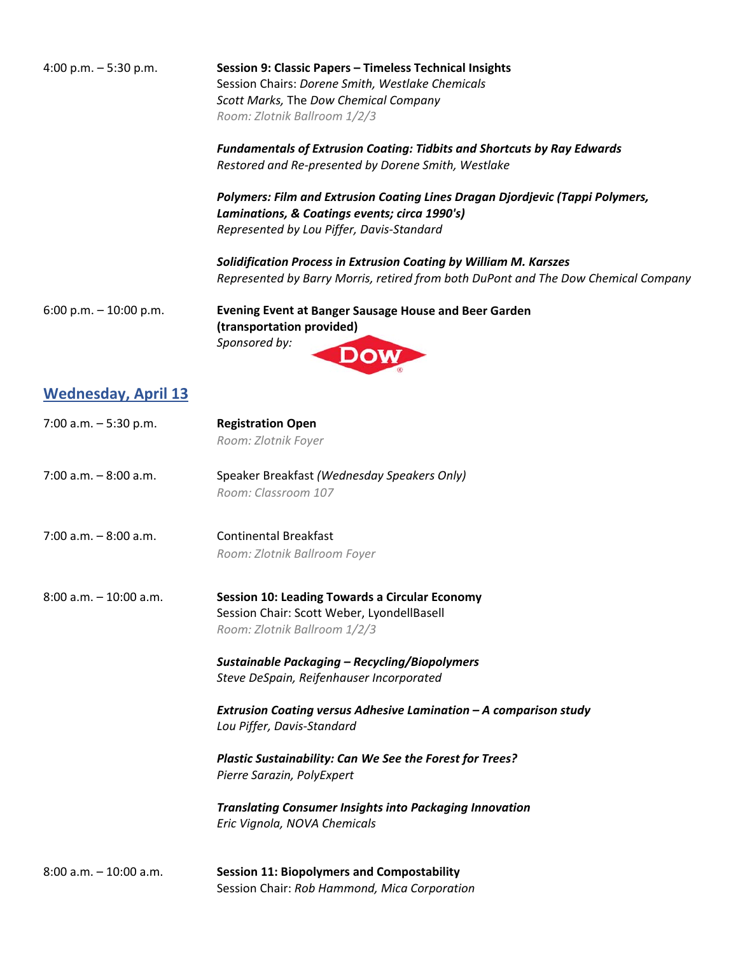4:00 p.m. – 5:30 p.m. **Session 9: Classic Papers – Timeless Technical Insights** Session Chairs: *Dorene Smith, Westlake Chemicals Scott Marks,* The *Dow Chemical Company Room: Zlotnik Ballroom 1/2/3*

> *Fundamentals of Extrusion Coating: Tidbits and Shortcuts by Ray Edwards Restored and Re‐presented by Dorene Smith, Westlake*

*Polymers: Film and Extrusion Coating Lines Dragan Djordjevic (Tappi Polymers, Laminations, & Coatings events; circa 1990's) Represented by Lou Piffer, Davis‐Standard*

*Solidification Process in Extrusion Coating by William M. Karszes Represented by Barry Morris, retired from both DuPont and The Dow Chemical Company*

6:00 p.m. – 10:00 p.m. **Evening Event at Banger Sausage House and Beer Garden (transportation provided)**  *Sponsored by:* 

## **Wednesday, April 13**

| 7:00 a.m. $-5:30$ p.m.    | <b>Registration Open</b><br>Room: Zlotnik Foyer                                                                                                                                             |
|---------------------------|---------------------------------------------------------------------------------------------------------------------------------------------------------------------------------------------|
| $7:00$ a.m. $-8:00$ a.m.  | Speaker Breakfast (Wednesday Speakers Only)<br>Room: Classroom 107                                                                                                                          |
| $7:00$ a.m. $-8:00$ a.m.  | <b>Continental Breakfast</b><br>Room: Zlotnik Ballroom Foyer                                                                                                                                |
| $8:00$ a.m. $-10:00$ a.m. | <b>Session 10: Leading Towards a Circular Economy</b><br>Session Chair: Scott Weber, LyondellBasell<br>Room: Zlotnik Ballroom 1/2/3<br><b>Sustainable Packaging - Recycling/Biopolymers</b> |
|                           | Steve DeSpain, Reifenhauser Incorporated                                                                                                                                                    |
|                           | Extrusion Coating versus Adhesive Lamination - A comparison study<br>Lou Piffer, Davis-Standard                                                                                             |
|                           | Plastic Sustainability: Can We See the Forest for Trees?<br>Pierre Sarazin, PolyExpert                                                                                                      |
|                           | <b>Translating Consumer Insights into Packaging Innovation</b><br>Eric Vignola, NOVA Chemicals                                                                                              |
| $8:00$ a.m. $-10:00$ a.m. | <b>Session 11: Biopolymers and Compostability</b><br>Session Chair: Rob Hammond, Mica Corporation                                                                                           |